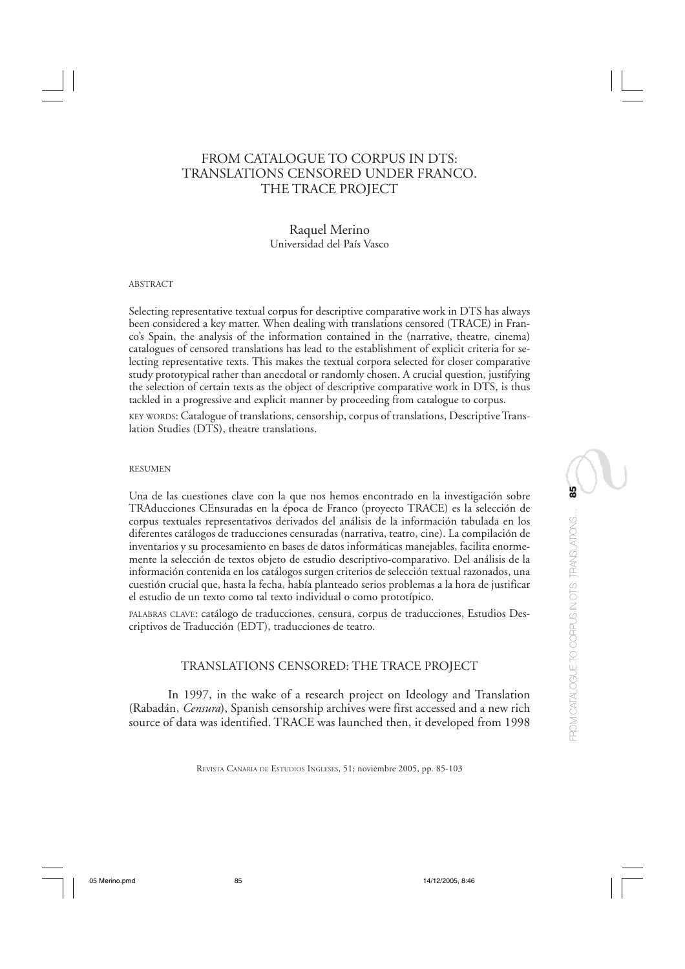# FROM CATALOGUE TO CORPUS IN DTS: TRANSLATIONS CENSORED UNDER FRANCO. THE TRACE PROJECT

# Raquel Merino Universidad del País Vasco

#### ABSTRACT

Selecting representative textual corpus for descriptive comparative work in DTS has always been considered a key matter. When dealing with translations censored (TRACE) in Franco's Spain, the analysis of the information contained in the (narrative, theatre, cinema) catalogues of censored translations has lead to the establishment of explicit criteria for selecting representative texts. This makes the textual corpora selected for closer comparative study prototypical rather than anecdotal or randomly chosen. A crucial question, justifying the selection of certain texts as the object of descriptive comparative work in DTS, is thus tackled in a progressive and explicit manner by proceeding from catalogue to corpus.

KEY WORDS: Catalogue of translations, censorship, corpus of translations, Descriptive Translation Studies (DTS), theatre translations.

#### RESUMEN

Una de las cuestiones clave con la que nos hemos encontrado en la investigación sobre TRAducciones CEnsuradas en la época de Franco (proyecto TRACE) es la selección de corpus textuales representativos derivados del análisis de la información tabulada en los diferentes catálogos de traducciones censuradas (narrativa, teatro, cine). La compilación de inventarios y su procesamiento en bases de datos informáticas manejables, facilita enormemente la selección de textos objeto de estudio descriptivo-comparativo. Del análisis de la información contenida en los catálogos surgen criterios de selección textual razonados, una cuestión crucial que, hasta la fecha, había planteado serios problemas a la hora de justificar el estudio de un texto como tal texto individual o como prototípico.

PALABRAS CLAVE: catálogo de traducciones, censura, corpus de traducciones, Estudios Descriptivos de Traducción (EDT), traducciones de teatro.

### TRANSLATIONS CENSORED: THE TRACE PROJECT

In 1997, in the wake of a research project on Ideology and Translation (Rabadán, *Censura*), Spanish censorship archives were first accessed and a new rich source of data was identified. TRACE was launched then, it developed from 1998

REVISTA CANARIA DE ESTUDIOS INGLESES, 51; noviembre 2005, pp. 85-103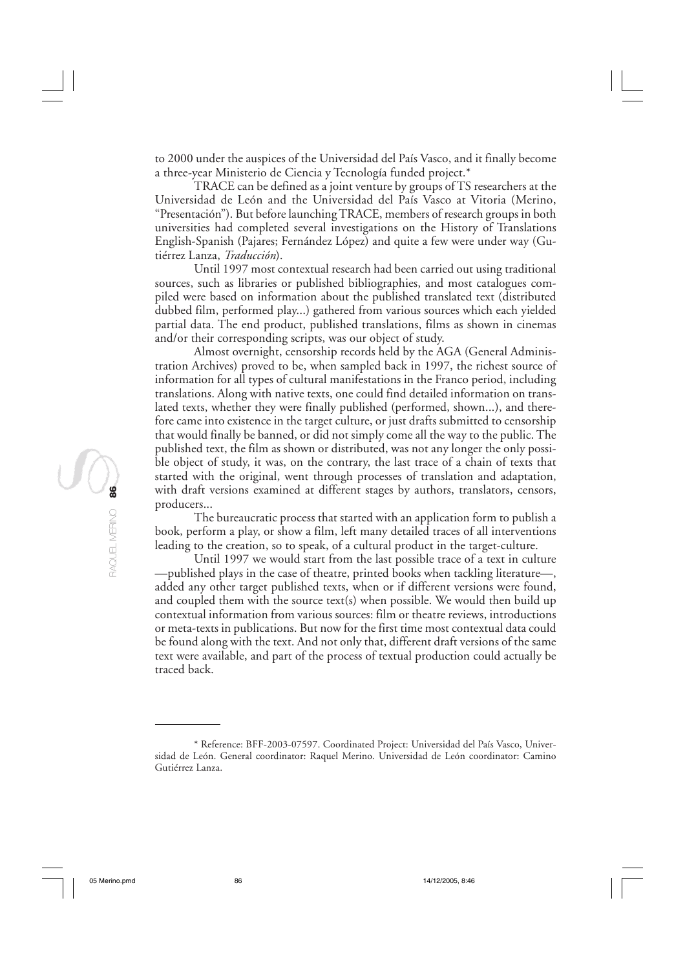to 2000 under the auspices of the Universidad del País Vasco, and it finally become a three-year Ministerio de Ciencia y Tecnología funded project.\*

TRACE can be defined as a joint venture by groups of TS researchers at the Universidad de León and the Universidad del País Vasco at Vitoria (Merino, "Presentación"). But before launching TRACE, members of research groups in both universities had completed several investigations on the History of Translations English-Spanish (Pajares; Fernández López) and quite a few were under way (Gutiérrez Lanza, *Traducción*).

Until 1997 most contextual research had been carried out using traditional sources, such as libraries or published bibliographies, and most catalogues compiled were based on information about the published translated text (distributed dubbed film, performed play...) gathered from various sources which each yielded partial data. The end product, published translations, films as shown in cinemas and/or their corresponding scripts, was our object of study.

Almost overnight, censorship records held by the AGA (General Administration Archives) proved to be, when sampled back in 1997, the richest source of information for all types of cultural manifestations in the Franco period, including translations. Along with native texts, one could find detailed information on translated texts, whether they were finally published (performed, shown...), and therefore came into existence in the target culture, or just drafts submitted to censorship that would finally be banned, or did not simply come all the way to the public. The published text, the film as shown or distributed, was not any longer the only possible object of study, it was, on the contrary, the last trace of a chain of texts that started with the original, went through processes of translation and adaptation, with draft versions examined at different stages by authors, translators, censors, producers...

The bureaucratic process that started with an application form to publish a book, perform a play, or show a film, left many detailed traces of all interventions leading to the creation, so to speak, of a cultural product in the target-culture.

Until 1997 we would start from the last possible trace of a text in culture —published plays in the case of theatre, printed books when tackling literature—, added any other target published texts, when or if different versions were found, and coupled them with the source text(s) when possible. We would then build up contextual information from various sources: film or theatre reviews, introductions or meta-texts in publications. But now for the first time most contextual data could be found along with the text. And not only that, different draft versions of the same text were available, and part of the process of textual production could actually be traced back.

<sup>\*</sup> Reference: BFF-2003-07597. Coordinated Project: Universidad del País Vasco, Universidad de León. General coordinator: Raquel Merino. Universidad de León coordinator: Camino Gutiérrez Lanza.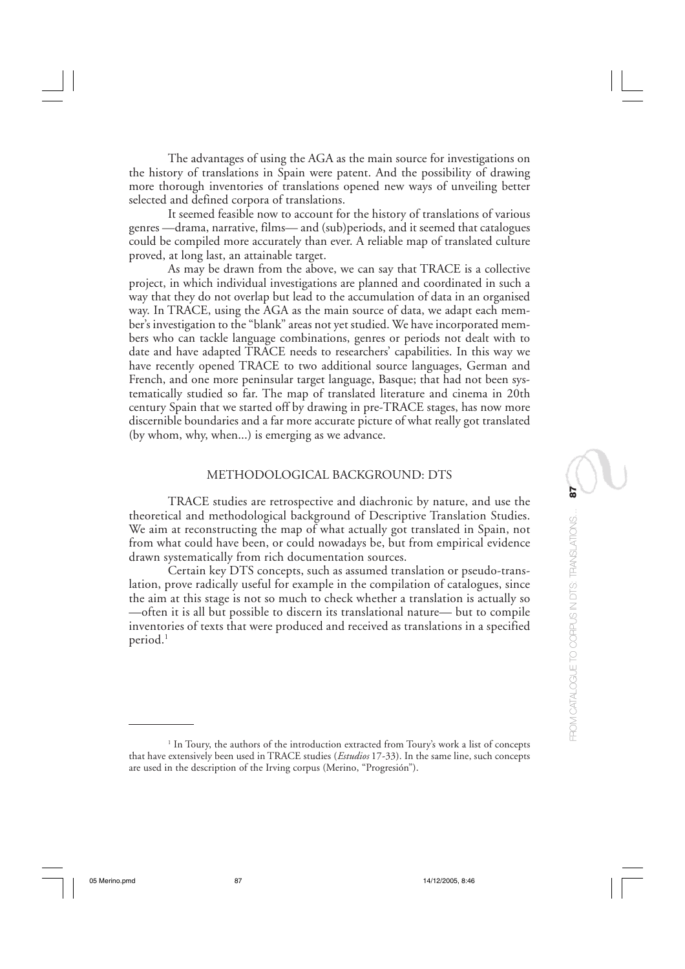The advantages of using the AGA as the main source for investigations on the history of translations in Spain were patent. And the possibility of drawing more thorough inventories of translations opened new ways of unveiling better selected and defined corpora of translations.

It seemed feasible now to account for the history of translations of various genres —drama, narrative, films— and (sub)periods, and it seemed that catalogues could be compiled more accurately than ever. A reliable map of translated culture proved, at long last, an attainable target.

As may be drawn from the above, we can say that TRACE is a collective project, in which individual investigations are planned and coordinated in such a way that they do not overlap but lead to the accumulation of data in an organised way. In TRACE, using the AGA as the main source of data, we adapt each member's investigation to the "blank" areas not yet studied. We have incorporated members who can tackle language combinations, genres or periods not dealt with to date and have adapted TRACE needs to researchers' capabilities. In this way we have recently opened TRACE to two additional source languages, German and French, and one more peninsular target language, Basque; that had not been systematically studied so far. The map of translated literature and cinema in 20th century Spain that we started off by drawing in pre-TRACE stages, has now more discernible boundaries and a far more accurate picture of what really got translated (by whom, why, when...) is emerging as we advance.

#### METHODOLOGICAL BACKGROUND: DTS

TRACE studies are retrospective and diachronic by nature, and use the theoretical and methodological background of Descriptive Translation Studies. We aim at reconstructing the map of what actually got translated in Spain, not from what could have been, or could nowadays be, but from empirical evidence drawn systematically from rich documentation sources.

Certain key DTS concepts, such as assumed translation or pseudo-translation, prove radically useful for example in the compilation of catalogues, since the aim at this stage is not so much to check whether a translation is actually so —often it is all but possible to discern its translational nature— but to compile inventories of texts that were produced and received as translations in a specified period.<sup>1</sup>

<sup>&</sup>lt;sup>1</sup> In Toury, the authors of the introduction extracted from Toury's work a list of concepts that have extensively been used in TRACE studies (*Estudios* 17-33). In the same line, such concepts are used in the description of the Irving corpus (Merino, "Progresión").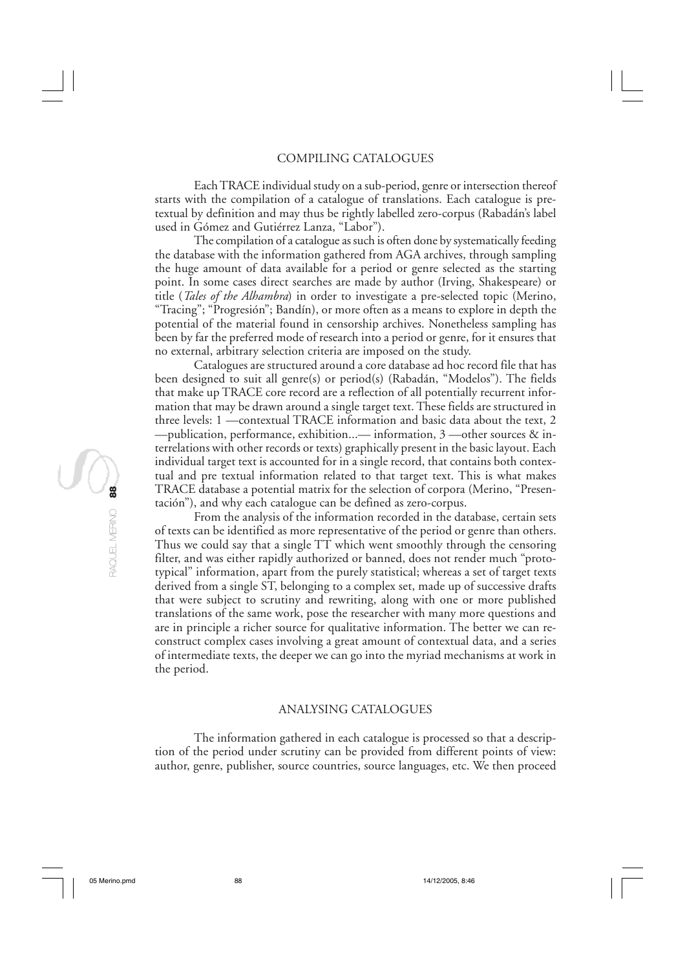Each TRACE individual study on a sub-period, genre or intersection thereof starts with the compilation of a catalogue of translations. Each catalogue is pretextual by definition and may thus be rightly labelled zero-corpus (Rabadán's label used in Gómez and Gutiérrez Lanza, "Labor").

The compilation of a catalogue as such is often done by systematically feeding the database with the information gathered from AGA archives, through sampling the huge amount of data available for a period or genre selected as the starting point. In some cases direct searches are made by author (Irving, Shakespeare) or title (*Tales of the Alhambra*) in order to investigate a pre-selected topic (Merino, "Tracing"; "Progresión"; Bandín), or more often as a means to explore in depth the potential of the material found in censorship archives. Nonetheless sampling has been by far the preferred mode of research into a period or genre, for it ensures that no external, arbitrary selection criteria are imposed on the study.

Catalogues are structured around a core database ad hoc record file that has been designed to suit all genre(s) or period(s) (Rabadán, "Modelos"). The fields that make up TRACE core record are a reflection of all potentially recurrent information that may be drawn around a single target text. These fields are structured in three levels: 1 —contextual TRACE information and basic data about the text, 2 —publication, performance, exhibition...— information, 3 —other sources & interrelations with other records or texts) graphically present in the basic layout. Each individual target text is accounted for in a single record, that contains both contextual and pre textual information related to that target text. This is what makes TRACE database a potential matrix for the selection of corpora (Merino, "Presentación"), and why each catalogue can be defined as zero-corpus.

From the analysis of the information recorded in the database, certain sets of texts can be identified as more representative of the period or genre than others. Thus we could say that a single TT which went smoothly through the censoring filter, and was either rapidly authorized or banned, does not render much "prototypical" information, apart from the purely statistical; whereas a set of target texts derived from a single ST, belonging to a complex set, made up of successive drafts that were subject to scrutiny and rewriting, along with one or more published translations of the same work, pose the researcher with many more questions and are in principle a richer source for qualitative information. The better we can reconstruct complex cases involving a great amount of contextual data, and a series of intermediate texts, the deeper we can go into the myriad mechanisms at work in the period.

## ANALYSING CATALOGUES

The information gathered in each catalogue is processed so that a description of the period under scrutiny can be provided from different points of view: author, genre, publisher, source countries, source languages, etc. We then proceed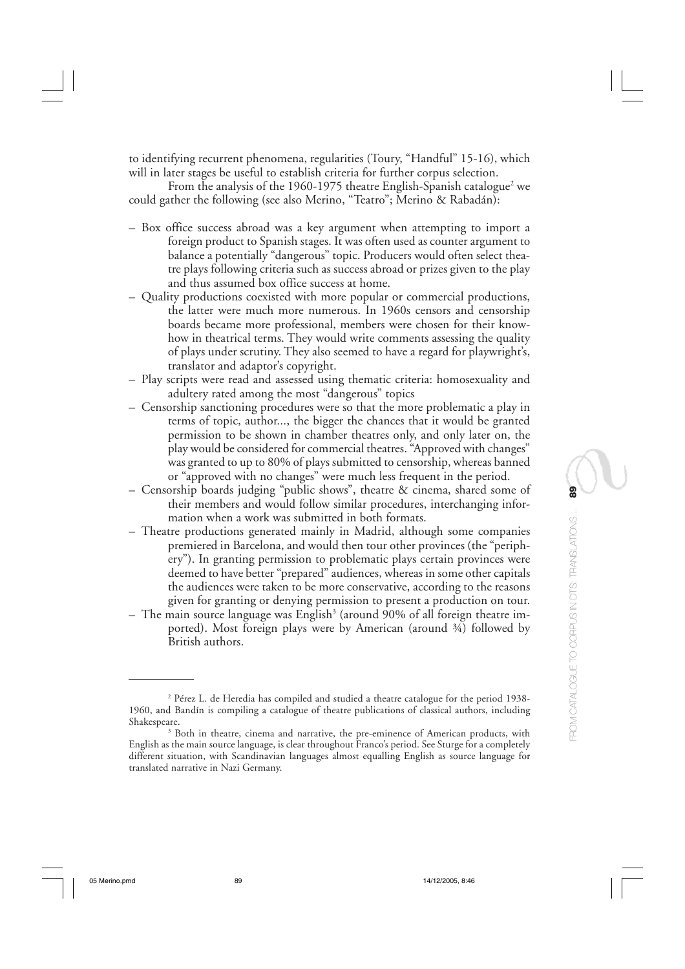to identifying recurrent phenomena, regularities (Toury, "Handful" 15-16), which will in later stages be useful to establish criteria for further corpus selection.

From the analysis of the 1960-1975 theatre English-Spanish catalogue<sup>2</sup> we could gather the following (see also Merino, "Teatro"; Merino & Rabadán):

- Box office success abroad was a key argument when attempting to import a foreign product to Spanish stages. It was often used as counter argument to balance a potentially "dangerous" topic. Producers would often select theatre plays following criteria such as success abroad or prizes given to the play and thus assumed box office success at home.
- Quality productions coexisted with more popular or commercial productions, the latter were much more numerous. In 1960s censors and censorship boards became more professional, members were chosen for their knowhow in theatrical terms. They would write comments assessing the quality of plays under scrutiny. They also seemed to have a regard for playwright's, translator and adaptor's copyright.
- Play scripts were read and assessed using thematic criteria: homosexuality and adultery rated among the most "dangerous" topics
- Censorship sanctioning procedures were so that the more problematic a play in terms of topic, author..., the bigger the chances that it would be granted permission to be shown in chamber theatres only, and only later on, the play would be considered for commercial theatres. "Approved with changes" was granted to up to 80% of plays submitted to censorship, whereas banned or "approved with no changes" were much less frequent in the period.
- Censorship boards judging "public shows", theatre & cinema, shared some of their members and would follow similar procedures, interchanging information when a work was submitted in both formats.
- Theatre productions generated mainly in Madrid, although some companies premiered in Barcelona, and would then tour other provinces (the "periphery"). In granting permission to problematic plays certain provinces were deemed to have better "prepared" audiences, whereas in some other capitals the audiences were taken to be more conservative, according to the reasons given for granting or denying permission to present a production on tour.
- $-$  The main source language was English $^3$  (around 90% of all foreign theatre imported). Most foreign plays were by American (around ¾) followed by British authors.

<sup>2</sup> Pérez L. de Heredia has compiled and studied a theatre catalogue for the period 1938- 1960, and Bandín is compiling a catalogue of theatre publications of classical authors, including Shakespeare.

<sup>&</sup>lt;sup>3</sup> Both in theatre, cinema and narrative, the pre-eminence of American products, with English as the main source language, is clear throughout Franco's period. See Sturge for a completely different situation, with Scandinavian languages almost equalling English as source language for translated narrative in Nazi Germany.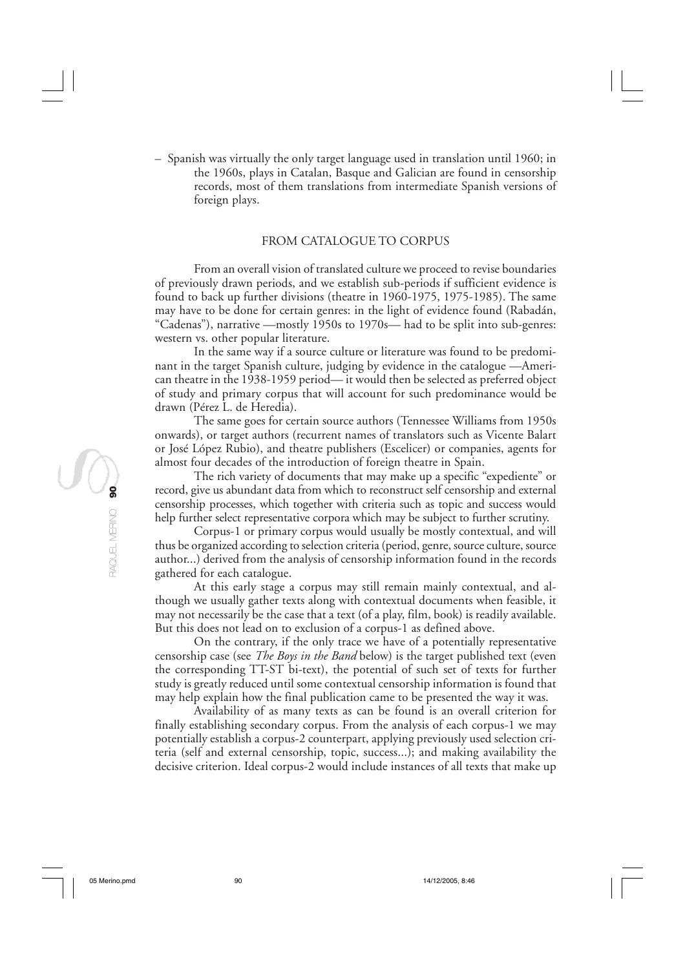– Spanish was virtually the only target language used in translation until 1960; in the 1960s, plays in Catalan, Basque and Galician are found in censorship records, most of them translations from intermediate Spanish versions of foreign plays.

#### FROM CATALOGUE TO CORPUS

From an overall vision of translated culture we proceed to revise boundaries of previously drawn periods, and we establish sub-periods if sufficient evidence is found to back up further divisions (theatre in 1960-1975, 1975-1985). The same may have to be done for certain genres: in the light of evidence found (Rabadán, "Cadenas"), narrative —mostly 1950s to 1970s— had to be split into sub-genres: western vs. other popular literature.

In the same way if a source culture or literature was found to be predominant in the target Spanish culture, judging by evidence in the catalogue —American theatre in the 1938-1959 period— it would then be selected as preferred object of study and primary corpus that will account for such predominance would be drawn (Pérez L. de Heredia).

The same goes for certain source authors (Tennessee Williams from 1950s onwards), or target authors (recurrent names of translators such as Vicente Balart or José López Rubio), and theatre publishers (Escelicer) or companies, agents for almost four decades of the introduction of foreign theatre in Spain.

The rich variety of documents that may make up a specific "expediente" or record, give us abundant data from which to reconstruct self censorship and external censorship processes, which together with criteria such as topic and success would help further select representative corpora which may be subject to further scrutiny.

Corpus-1 or primary corpus would usually be mostly contextual, and will thus be organized according to selection criteria (period, genre, source culture, source author...) derived from the analysis of censorship information found in the records gathered for each catalogue.

At this early stage a corpus may still remain mainly contextual, and although we usually gather texts along with contextual documents when feasible, it may not necessarily be the case that a text (of a play, film, book) is readily available. But this does not lead on to exclusion of a corpus-1 as defined above.

On the contrary, if the only trace we have of a potentially representative censorship case (see *The Boys in the Band* below) is the target published text (even the corresponding TT-ST bi-text), the potential of such set of texts for further study is greatly reduced until some contextual censorship information is found that may help explain how the final publication came to be presented the way it was.

Availability of as many texts as can be found is an overall criterion for finally establishing secondary corpus. From the analysis of each corpus-1 we may potentially establish a corpus-2 counterpart, applying previously used selection criteria (self and external censorship, topic, success...); and making availability the decisive criterion. Ideal corpus-2 would include instances of all texts that make up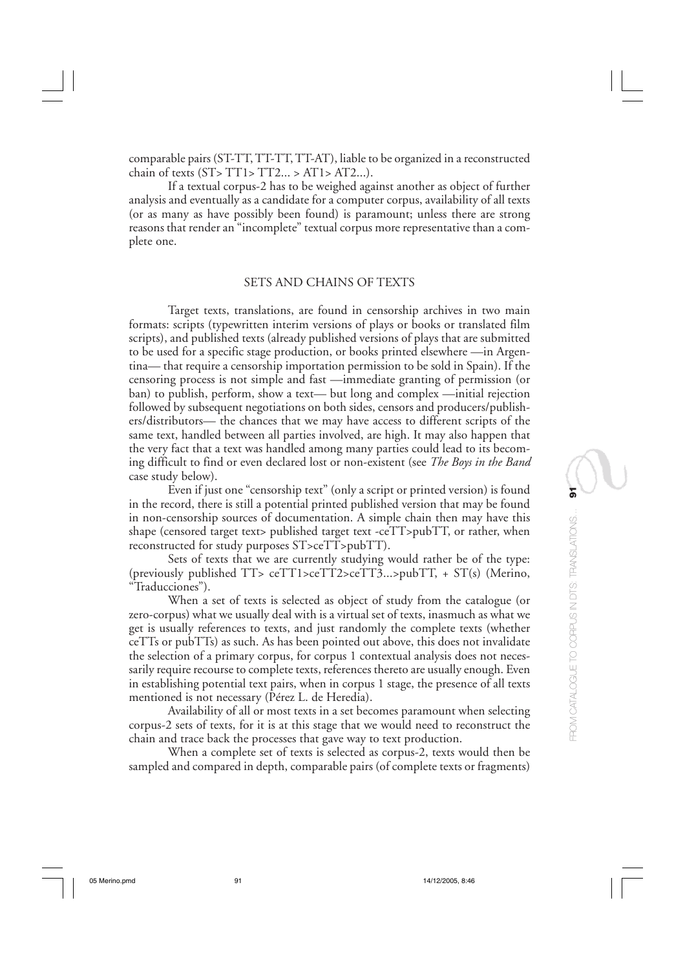comparable pairs (ST-TT, TT-TT, TT-AT), liable to be organized in a reconstructed chain of texts  $(ST > TT1 > TT2... > AT1 > AT2...$ ).

If a textual corpus-2 has to be weighed against another as object of further analysis and eventually as a candidate for a computer corpus, availability of all texts (or as many as have possibly been found) is paramount; unless there are strong reasons that render an "incomplete" textual corpus more representative than a complete one.

#### SETS AND CHAINS OF TEXTS

Target texts, translations, are found in censorship archives in two main formats: scripts (typewritten interim versions of plays or books or translated film scripts), and published texts (already published versions of plays that are submitted to be used for a specific stage production, or books printed elsewhere —in Argentina— that require a censorship importation permission to be sold in Spain). If the censoring process is not simple and fast —immediate granting of permission (or ban) to publish, perform, show a text— but long and complex —initial rejection followed by subsequent negotiations on both sides, censors and producers/publishers/distributors— the chances that we may have access to different scripts of the same text, handled between all parties involved, are high. It may also happen that the very fact that a text was handled among many parties could lead to its becoming difficult to find or even declared lost or non-existent (see *The Boys in the Band* case study below).

Even if just one "censorship text" (only a script or printed version) is found in the record, there is still a potential printed published version that may be found in non-censorship sources of documentation. A simple chain then may have this shape (censored target text> published target text -ceTT>pubTT, or rather, when reconstructed for study purposes ST>ceTT>pubTT).

Sets of texts that we are currently studying would rather be of the type: (previously published TT> ceTT1>ceTT2>ceTT3...>pubTT, + ST(s) (Merino, "Traducciones").

When a set of texts is selected as object of study from the catalogue (or zero-corpus) what we usually deal with is a virtual set of texts, inasmuch as what we get is usually references to texts, and just randomly the complete texts (whether ceTTs or pubTTs) as such. As has been pointed out above, this does not invalidate the selection of a primary corpus, for corpus 1 contextual analysis does not necessarily require recourse to complete texts, references thereto are usually enough. Even in establishing potential text pairs, when in corpus 1 stage, the presence of all texts mentioned is not necessary (Pérez L. de Heredia).

Availability of all or most texts in a set becomes paramount when selecting corpus-2 sets of texts, for it is at this stage that we would need to reconstruct the chain and trace back the processes that gave way to text production.

When a complete set of texts is selected as corpus-2, texts would then be sampled and compared in depth, comparable pairs (of complete texts or fragments)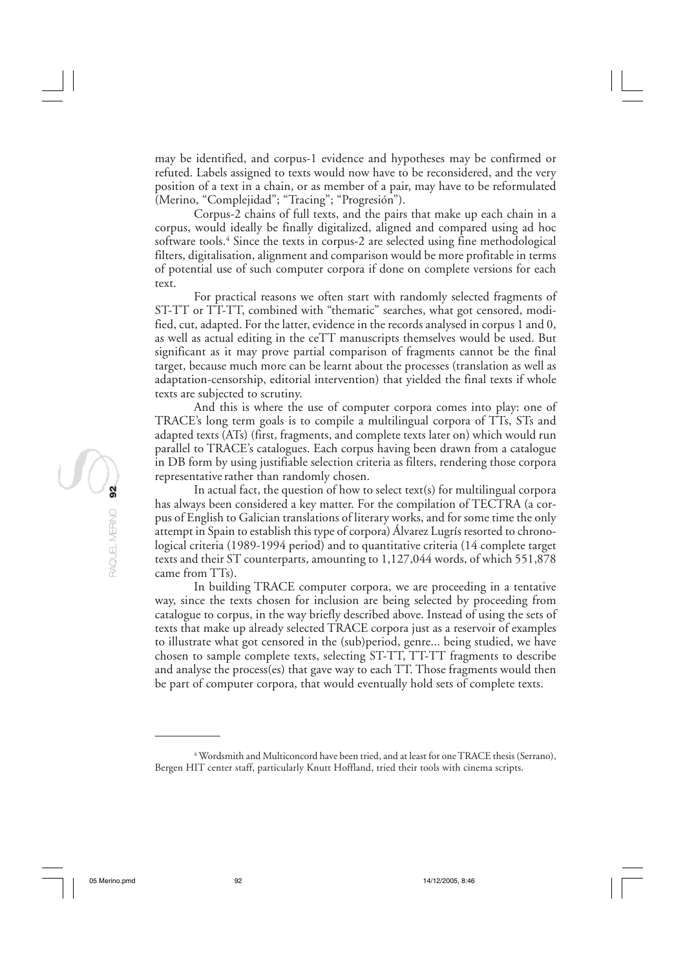may be identified, and corpus-1 evidence and hypotheses may be confirmed or refuted. Labels assigned to texts would now have to be reconsidered, and the very position of a text in a chain, or as member of a pair, may have to be reformulated (Merino, "Complejidad"; "Tracing"; "Progresión").

Corpus-2 chains of full texts, and the pairs that make up each chain in a corpus, would ideally be finally digitalized, aligned and compared using ad hoc software tools.4 Since the texts in corpus-2 are selected using fine methodological filters, digitalisation, alignment and comparison would be more profitable in terms of potential use of such computer corpora if done on complete versions for each text.

For practical reasons we often start with randomly selected fragments of ST-TT or TT-TT, combined with "thematic" searches, what got censored, modified, cut, adapted. For the latter, evidence in the records analysed in corpus 1 and 0, as well as actual editing in the ceTT manuscripts themselves would be used. But significant as it may prove partial comparison of fragments cannot be the final target, because much more can be learnt about the processes (translation as well as adaptation-censorship, editorial intervention) that yielded the final texts if whole texts are subjected to scrutiny.

And this is where the use of computer corpora comes into play: one of TRACE's long term goals is to compile a multilingual corpora of TTs, STs and adapted texts (ATs) (first, fragments, and complete texts later on) which would run parallel to TRACE's catalogues. Each corpus having been drawn from a catalogue in DB form by using justifiable selection criteria as filters, rendering those corpora representative rather than randomly chosen.

In actual fact, the question of how to select text(s) for multilingual corpora has always been considered a key matter. For the compilation of TECTRA (a corpus of English to Galician translations of literary works, and for some time the only attempt in Spain to establish this type of corpora) Álvarez Lugrís resorted to chronological criteria (1989-1994 period) and to quantitative criteria (14 complete target texts and their ST counterparts, amounting to 1,127,044 words, of which 551,878 came from TTs).

In building TRACE computer corpora, we are proceeding in a tentative way, since the texts chosen for inclusion are being selected by proceeding from catalogue to corpus, in the way briefly described above. Instead of using the sets of texts that make up already selected TRACE corpora just as a reservoir of examples to illustrate what got censored in the (sub)period, genre... being studied, we have chosen to sample complete texts, selecting ST-TT, TT-TT fragments to describe and analyse the process(es) that gave way to each TT. Those fragments would then be part of computer corpora, that would eventually hold sets of complete texts.

 $^4$  Wordsmith and Multiconcord have been tried, and at least for one TRACE thesis (Serrano), Bergen HIT center staff, particularly Knutt Hoffland, tried their tools with cinema scripts.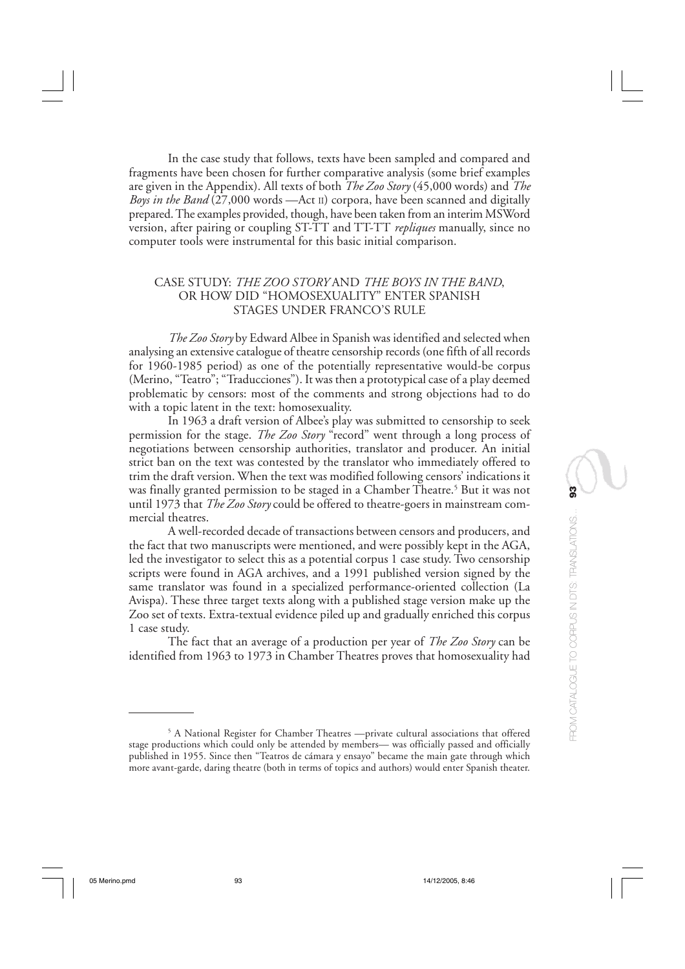In the case study that follows, texts have been sampled and compared and fragments have been chosen for further comparative analysis (some brief examples are given in the Appendix). All texts of both *The Zoo Story* (45,000 words) and *The Boys in the Band* (27,000 words —Act II) corpora, have been scanned and digitally prepared. The examples provided, though, have been taken from an interim MSWord version, after pairing or coupling ST-TT and TT-TT *repliques* manually, since no computer tools were instrumental for this basic initial comparison.

## CASE STUDY: *THE ZOO STORY* AND *THE BOYS IN THE BAND*, OR HOW DID "HOMOSEXUALITY" ENTER SPANISH STAGES UNDER FRANCO'S RULE

*The Zoo Story* by Edward Albee in Spanish was identified and selected when analysing an extensive catalogue of theatre censorship records (one fifth of all records for 1960-1985 period) as one of the potentially representative would-be corpus (Merino, "Teatro"; "Traducciones"). It was then a prototypical case of a play deemed problematic by censors: most of the comments and strong objections had to do with a topic latent in the text: homosexuality.

In 1963 a draft version of Albee's play was submitted to censorship to seek permission for the stage. *The Zoo Story* "record" went through a long process of negotiations between censorship authorities, translator and producer. An initial strict ban on the text was contested by the translator who immediately offered to trim the draft version. When the text was modified following censors' indications it was finally granted permission to be staged in a Chamber Theatre.5 But it was not until 1973 that *The Zoo Story* could be offered to theatre-goers in mainstream commercial theatres.

A well-recorded decade of transactions between censors and producers, and the fact that two manuscripts were mentioned, and were possibly kept in the AGA, led the investigator to select this as a potential corpus 1 case study. Two censorship scripts were found in AGA archives, and a 1991 published version signed by the same translator was found in a specialized performance-oriented collection (La Avispa). These three target texts along with a published stage version make up the Zoo set of texts. Extra-textual evidence piled up and gradually enriched this corpus 1 case study.

The fact that an average of a production per year of *The Zoo Story* can be identified from 1963 to 1973 in Chamber Theatres proves that homosexuality had

<sup>5</sup> A National Register for Chamber Theatres —private cultural associations that offered stage productions which could only be attended by members— was officially passed and officially published in 1955. Since then "Teatros de cámara y ensayo" became the main gate through which more avant-garde, daring theatre (both in terms of topics and authors) would enter Spanish theater.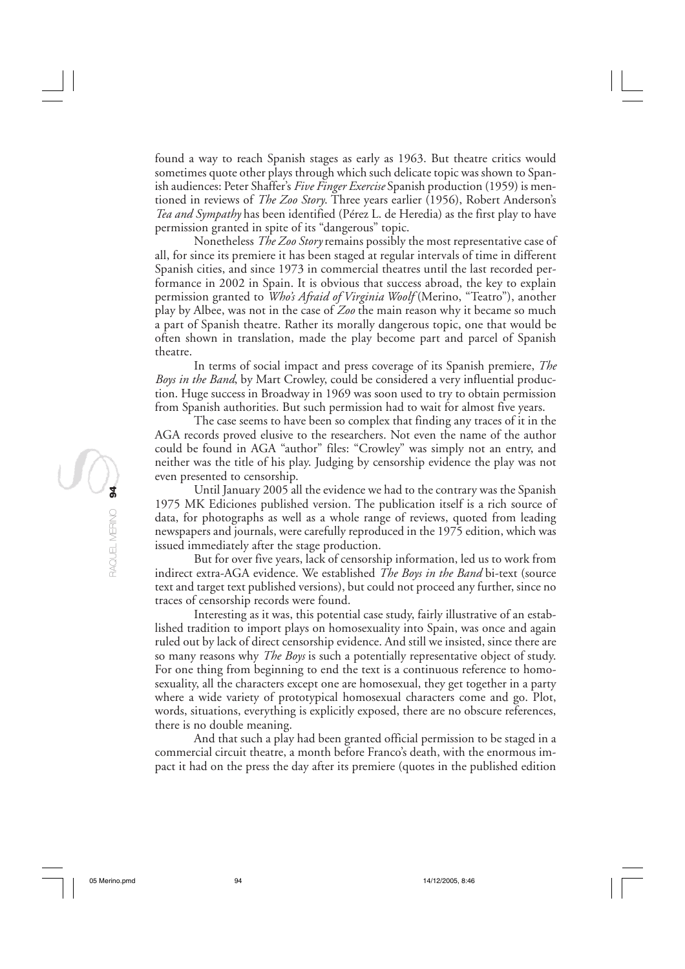found a way to reach Spanish stages as early as 1963. But theatre critics would sometimes quote other plays through which such delicate topic was shown to Spanish audiences: Peter Shaffer's *Five Finger Exercise* Spanish production (1959) is mentioned in reviews of *The Zoo Story*. Three years earlier (1956), Robert Anderson's *Tea and Sympathy* has been identified (Pérez L. de Heredia) as the first play to have permission granted in spite of its "dangerous" topic.

Nonetheless *The Zoo Story* remains possibly the most representative case of all, for since its premiere it has been staged at regular intervals of time in different Spanish cities, and since 1973 in commercial theatres until the last recorded performance in 2002 in Spain. It is obvious that success abroad, the key to explain permission granted to *Who's Afraid of Virginia Woolf* (Merino, "Teatro"), another play by Albee, was not in the case of *Zoo* the main reason why it became so much a part of Spanish theatre. Rather its morally dangerous topic, one that would be often shown in translation, made the play become part and parcel of Spanish theatre.

In terms of social impact and press coverage of its Spanish premiere, *The Boys in the Band*, by Mart Crowley, could be considered a very influential production. Huge success in Broadway in 1969 was soon used to try to obtain permission from Spanish authorities. But such permission had to wait for almost five years.

The case seems to have been so complex that finding any traces of it in the AGA records proved elusive to the researchers. Not even the name of the author could be found in AGA "author" files: "Crowley" was simply not an entry, and neither was the title of his play. Judging by censorship evidence the play was not even presented to censorship.

Until January 2005 all the evidence we had to the contrary was the Spanish 1975 MK Ediciones published version. The publication itself is a rich source of data, for photographs as well as a whole range of reviews, quoted from leading newspapers and journals, were carefully reproduced in the 1975 edition, which was issued immediately after the stage production.

But for over five years, lack of censorship information, led us to work from indirect extra-AGA evidence. We established *The Boys in the Band* bi-text (source text and target text published versions), but could not proceed any further, since no traces of censorship records were found.

Interesting as it was, this potential case study, fairly illustrative of an established tradition to import plays on homosexuality into Spain, was once and again ruled out by lack of direct censorship evidence. And still we insisted, since there are so many reasons why *The Boys* is such a potentially representative object of study. For one thing from beginning to end the text is a continuous reference to homosexuality, all the characters except one are homosexual, they get together in a party where a wide variety of prototypical homosexual characters come and go. Plot, words, situations, everything is explicitly exposed, there are no obscure references, there is no double meaning.

And that such a play had been granted official permission to be staged in a commercial circuit theatre, a month before Franco's death, with the enormous impact it had on the press the day after its premiere (quotes in the published edition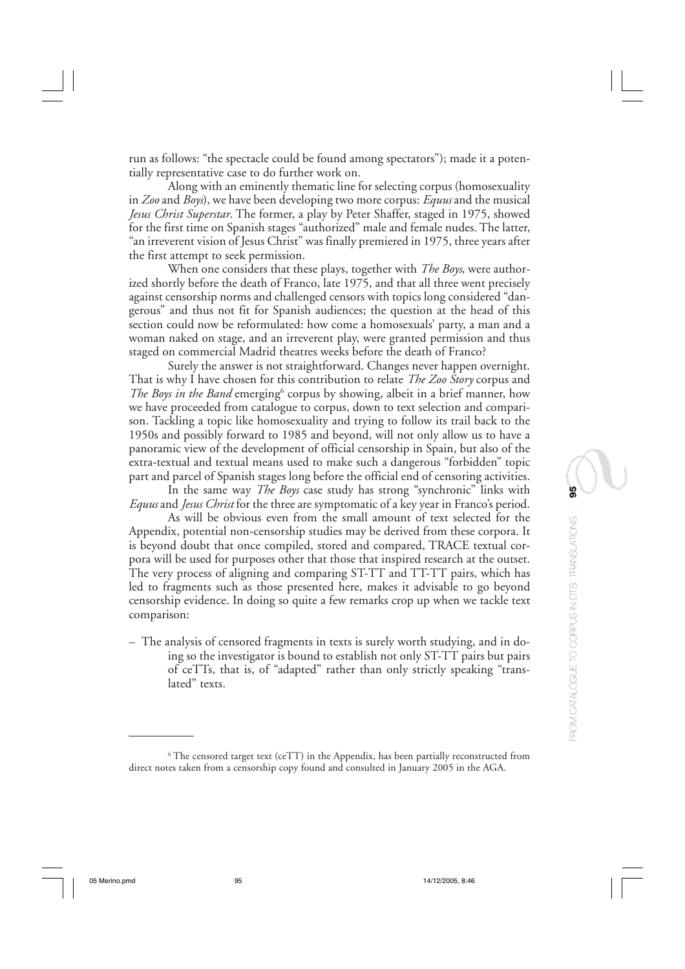run as follows: "the spectacle could be found among spectators"); made it a potentially representative case to do further work on.

Along with an eminently thematic line for selecting corpus (homosexuality in *Zoo* and *Boys*), we have been developing two more corpus: *Equus* and the musical *Jesus Christ Superstar*. The former, a play by Peter Shaffer, staged in 1975, showed for the first time on Spanish stages "authorized" male and female nudes. The latter, "an irreverent vision of Jesus Christ" was finally premiered in 1975, three years after the first attempt to seek permission.

When one considers that these plays, together with *The Boys*, were authorized shortly before the death of Franco, late 1975, and that all three went precisely against censorship norms and challenged censors with topics long considered "dangerous" and thus not fit for Spanish audiences; the question at the head of this section could now be reformulated: how come a homosexuals' party, a man and a woman naked on stage, and an irreverent play, were granted permission and thus staged on commercial Madrid theatres weeks before the death of Franco?

Surely the answer is not straightforward. Changes never happen overnight. That is why I have chosen for this contribution to relate *The Zoo Story* corpus and *The Boys in the Band* emerging<sup>6</sup> corpus by showing, albeit in a brief manner, how we have proceeded from catalogue to corpus, down to text selection and comparison. Tackling a topic like homosexuality and trying to follow its trail back to the 1950s and possibly forward to 1985 and beyond, will not only allow us to have a panoramic view of the development of official censorship in Spain, but also of the extra-textual and textual means used to make such a dangerous "forbidden" topic part and parcel of Spanish stages long before the official end of censoring activities.

In the same way *The Boys* case study has strong "synchronic" links with *Equus* and *Jesus Christ* for the three are symptomatic of a key year in Franco's period.

As will be obvious even from the small amount of text selected for the Appendix, potential non-censorship studies may be derived from these corpora. It is beyond doubt that once compiled, stored and compared, TRACE textual corpora will be used for purposes other that those that inspired research at the outset. The very process of aligning and comparing ST-TT and TT-TT pairs, which has led to fragments such as those presented here, makes it advisable to go beyond censorship evidence. In doing so quite a few remarks crop up when we tackle text comparison:

– The analysis of censored fragments in texts is surely worth studying, and in doing so the investigator is bound to establish not only ST-TT pairs but pairs of ceTTs, that is, of "adapted" rather than only strictly speaking "translated" texts.

 $^6$  The censored target text (ceTT) in the Appendix, has been partially reconstructed from direct notes taken from a censorship copy found and consulted in January 2005 in the AGA.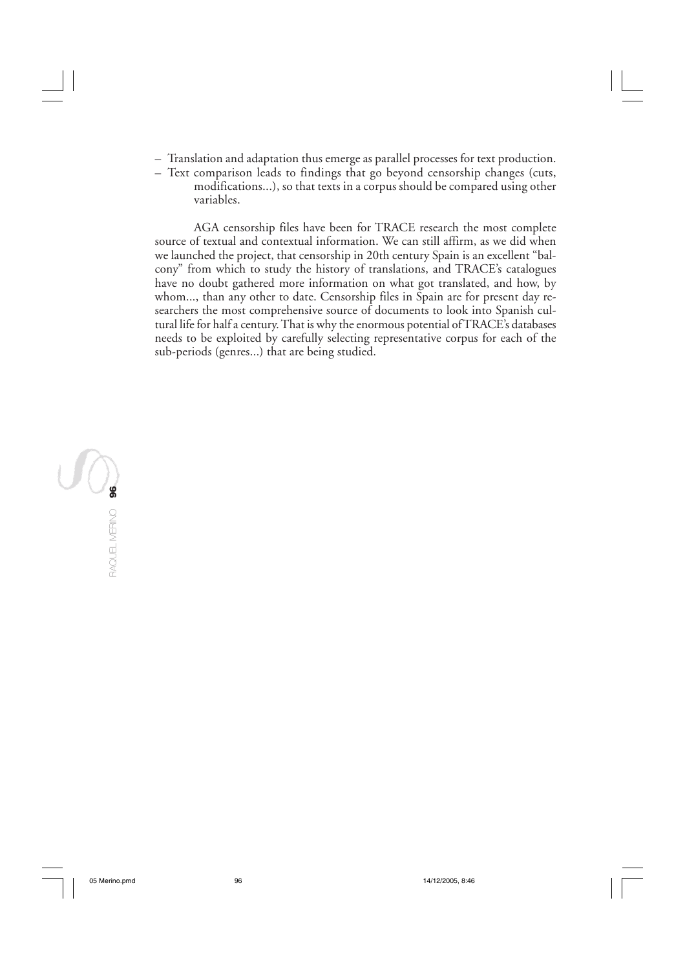- Translation and adaptation thus emerge as parallel processes for text production.
- Text comparison leads to findings that go beyond censorship changes (cuts, modifications...), so that texts in a corpus should be compared using other variables.

AGA censorship files have been for TRACE research the most complete source of textual and contextual information. We can still affirm, as we did when we launched the project, that censorship in 20th century Spain is an excellent "balcony" from which to study the history of translations, and TRACE's catalogues have no doubt gathered more information on what got translated, and how, by whom..., than any other to date. Censorship files in Spain are for present day researchers the most comprehensive source of documents to look into Spanish cultural life for half a century. That is why the enormous potential of TRACE's databases needs to be exploited by carefully selecting representative corpus for each of the sub-periods (genres...) that are being studied.

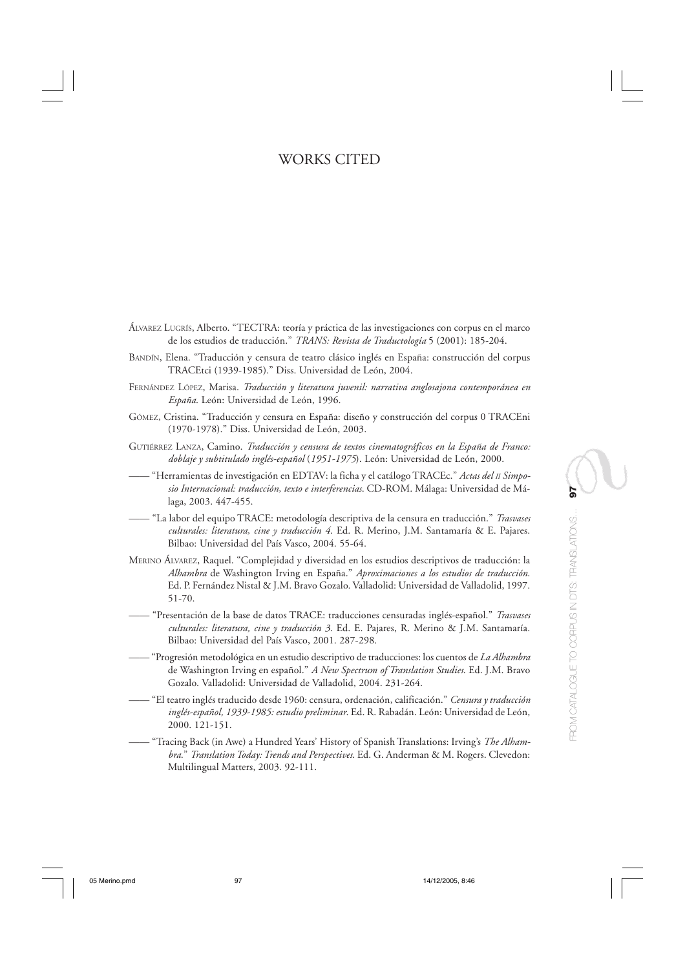# WORKS CITED

- ÁLVAREZ LUGRÍS, Alberto. "TECTRA: teoría y práctica de las investigaciones con corpus en el marco de los estudios de traducción." *TRANS: Revista de Traductología* 5 (2001): 185-204.
- BANDÍN, Elena. "Traducción y censura de teatro clásico inglés en España: construcción del corpus TRACEtci (1939-1985)." Diss. Universidad de León, 2004.
- FERNÁNDEZ LÓPEZ, Marisa. *Traducción y literatura juvenil: narrativa anglosajona contemporánea en España*. León: Universidad de León, 1996.
- GÓMEZ, Cristina. "Traducción y censura en España: diseño y construcción del corpus 0 TRACEni (1970-1978)." Diss. Universidad de León, 2003.
- GUTIÉRREZ LANZA, Camino. *Traducción y censura de textos cinematográficos en la España de Franco: doblaje y subtitulado inglés-español* (*1951-1975*). León: Universidad de León, 2000.
- —— "Herramientas de investigación en EDTAV: la ficha y el catálogo TRACEc." *Actas del II Simposio Internacional: traducción, texto e interferencias*. CD-ROM. Málaga: Universidad de Málaga, 2003. 447-455.
- —— "La labor del equipo TRACE: metodología descriptiva de la censura en traducción." *Trasvases culturales: literatura, cine y traducción 4*. Ed. R. Merino, J.M. Santamaría & E. Pajares. Bilbao: Universidad del País Vasco, 2004. 55-64.
- MERINO ÁLVAREZ, Raquel. "Complejidad y diversidad en los estudios descriptivos de traducción: la *Alhambra* de Washington Irving en España." *Aproximaciones a los estudios de traducción*. Ed. P. Fernández Nistal & J.M. Bravo Gozalo. Valladolid: Universidad de Valladolid, 1997. 51-70.
- —— "Presentación de la base de datos TRACE: traducciones censuradas inglés-español." *Trasvases culturales: literatura, cine y traducción 3*. Ed. E. Pajares, R. Merino & J.M. Santamaría. Bilbao: Universidad del País Vasco, 2001. 287-298.
- —— "Progresión metodológica en un estudio descriptivo de traducciones: los cuentos de *La Alhambra* de Washington Irving en español." *A New Spectrum of Translation Studies*. Ed. J.M. Bravo Gozalo. Valladolid: Universidad de Valladolid, 2004. 231-264.
- —— "El teatro inglés traducido desde 1960: censura, ordenación, calificación." *Censura y traducción inglés-español, 1939-1985: estudio preliminar*. Ed. R. Rabadán. León: Universidad de León, 2000. 121-151.
- —— "Tracing Back (in Awe) a Hundred Years' History of Spanish Translations: Irving's *The Alhambra*." *Translation Today: Trends and Perspectives*. Ed. G. Anderman & M. Rogers. Clevedon: Multilingual Matters, 2003. 92-111.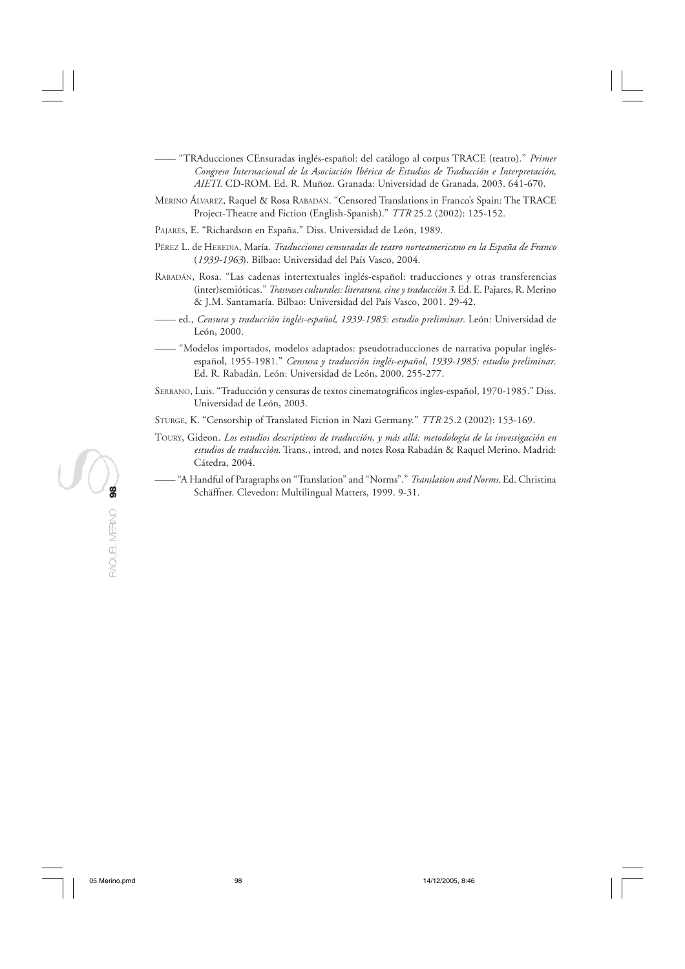- —— "TRAducciones CEnsuradas inglés-español: del catálogo al corpus TRACE (teatro)." *Primer Congreso Internacional de la Asociación Ibérica de Estudios de Traducción e Interpretación, AIETI*. CD-ROM. Ed. R. Muñoz. Granada: Universidad de Granada, 2003. 641-670.
- MERINO ÁLVAREZ, Raquel & Rosa RABADÁN. "Censored Translations in Franco's Spain: The TRACE Project-Theatre and Fiction (English-Spanish)." *TTR* 25.2 (2002): 125-152.
- PAJARES, E. "Richardson en España." Diss. Universidad de León, 1989.
- PÉREZ L. de HEREDIA, María. *Traducciones censuradas de teatro norteamericano en la España de Franco* (*1939-1963*). Bilbao: Universidad del País Vasco, 2004.
- RABADÁN, Rosa. "Las cadenas intertextuales inglés-español: traducciones y otras transferencias (inter)semióticas." *Trasvases culturales: literatura, cine y traducción 3*. Ed. E. Pajares, R. Merino & J.M. Santamaría. Bilbao: Universidad del País Vasco, 2001. 29-42.
- —— ed., *Censura y traducción inglés-español, 1939-1985: estudio preliminar*. León: Universidad de León, 2000.
- —— "Modelos importados, modelos adaptados: pseudotraducciones de narrativa popular inglésespañol, 1955-1981." *Censura y traducción inglés-español, 1939-1985: estudio preliminar*. Ed. R. Rabadán. León: Universidad de León, 2000. 255-277.
- SERRANO, Luis. "Traducción y censuras de textos cinematográficos ingles-español, 1970-1985." Diss. Universidad de León, 2003.
- STURGE, K. "Censorship of Translated Fiction in Nazi Germany." *TTR* 25.2 (2002): 153-169.
- TOURY, Gideon. *Los estudios descriptivos de traducción, y más allá: metodología de la investigación en estudios de traducción*. Trans., introd. and notes Rosa Rabadán & Raquel Merino. Madrid: Cátedra, 2004.
- —— "A Handful of Paragraphs on "Translation" and "Norms"." *Translation and Norms*. Ed. Christina Schäffner. Clevedon: Multilingual Matters, 1999. 9-31.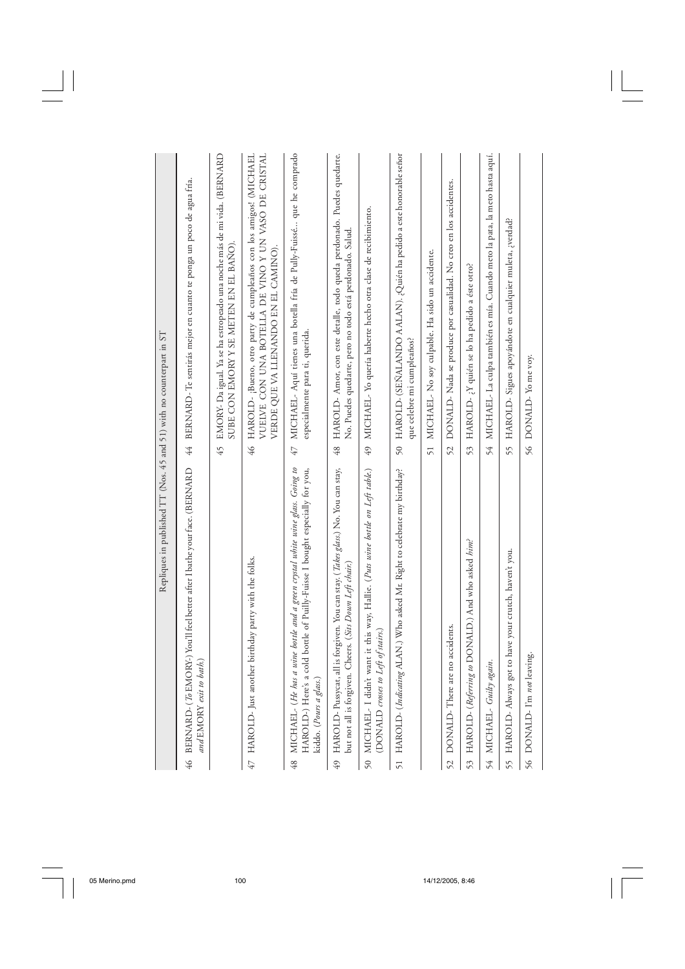|         | Repliques in published TT (Nos. 45 and 51) with no counterpart in ST                                                                                                                    |                 |                                                                                                                                                                  |
|---------|-----------------------------------------------------------------------------------------------------------------------------------------------------------------------------------------|-----------------|------------------------------------------------------------------------------------------------------------------------------------------------------------------|
|         | 46 BERNARD- (70 EMORY-) You'll feel better after I bathe your face. (BERNARD<br>and EMORY exit to bath.)                                                                                | 44              | BERNARD-Te sentirás mejor en cuanto te ponga un poco de agua fría.                                                                                               |
|         |                                                                                                                                                                                         | 45              | EMORY- Da igual. Ya se ha estropeado una noche más de mi vida. (BERNARD<br>SUBE CON EMORY Y SE METEN EN EL BAÑO).                                                |
|         | 47 HAROLD- Just another birthday party with the folks.                                                                                                                                  | 46              | HAROLD- ¡Bueno, otro party de cumpleaños con los amigos! (MICHAEL<br>VUELVE CON UNA BOTELLA DE VINO Y UN VASO DE CRISTAL<br>VERDE QUE VA LLENANDO EN EL CAMINO). |
| $^{48}$ | MICHAEL- (He has a wine bottle and a green crystal white wine glass. Going to<br>HAROLD-) Here's a cold bottle of Puilly-Fuisse I bought especially for you,<br>kiddo. (Pours a glass.) | 47              | MICHAEL- Aquí tienes una botella fría de Pully-Fuissé que he comprado<br>especialmente para ti, querida.                                                         |
| 49      | is forgiven. You can stay. ( <i>Takes glass</i> .) No. You can stay,<br>but not all is forgiven. Cheers. (Sits Down Left chair.)<br>HAROLD-Pussycat, all                                | 48              | HAROLD- Amor, con este detalle, todo queda perdonado. Puedes quedarte.<br>No. Puedes quedarte, pero no todo está perdonado. Salud.                               |
|         | 50 MICHAEL- I didn't want it this way, Hallie. (Puts wine bottle on Left table.)<br>(DONALD crosses to Left of stairs.)                                                                 |                 | 49 MICHAEL-Yo quería haberte hecho otra clase de recibimiento.                                                                                                   |
|         | 51 HAROLD- (Indicating ALAN.) Who asked Mr. Right to celebrate my birthday?                                                                                                             | 50 <sub>5</sub> | HAROLD- (SEÑALANDO A ALAN). ¿Quién ha pedido a este honorable señor<br>que celebre mi cumpleaños?                                                                |
|         |                                                                                                                                                                                         | 51              | MICHAEL- No soy culpable. Ha sido un accidente.                                                                                                                  |
|         | 52 DONALD-There are no accidents.                                                                                                                                                       | 52              | DONALD- Nada se produce por casualidad. No creo en los accidentes.                                                                                               |
|         | 53 HAROLD- (Referring to DONALD.) And who asked him?                                                                                                                                    | 53              | HAROLD- ¿Y quién se lo ha pedido a éste otro?                                                                                                                    |
|         | 54 MICHAEL- Guilty again.                                                                                                                                                               | 54              | MICHAEL- La culpa también es mía. Cuando meto la pata, la meto hasta aquí.                                                                                       |
| 55      | to have your crutch, haven't you.<br>HAROLD-Always got                                                                                                                                  | 55              | HAROLD- Sigues apoyándote en cualquier muleta, ¿verdad?                                                                                                          |
|         | 56 DONALD- I'm not leaving.                                                                                                                                                             |                 | 56 DONALD-Yo me voy.                                                                                                                                             |
|         |                                                                                                                                                                                         |                 |                                                                                                                                                                  |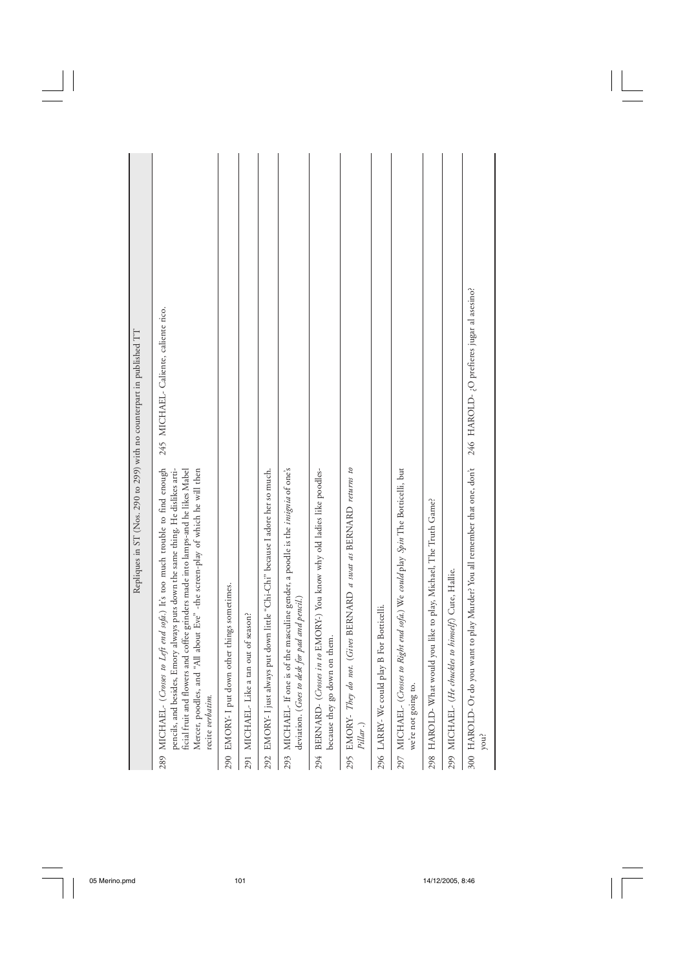|                                                                       | 245 MICHAEL-Caliente, caliente rico.                                                                                                                                                                                                                                                                                                                  |                                               |                                       |                                                                                 |                                                                                                                                    |                                                                                                               |                                                                                 |                                           |                                                                                                         |                                                                  |                                                      | 246 HAROLD- ¿O prefieres jugar al asesino?                                          |
|-----------------------------------------------------------------------|-------------------------------------------------------------------------------------------------------------------------------------------------------------------------------------------------------------------------------------------------------------------------------------------------------------------------------------------------------|-----------------------------------------------|---------------------------------------|---------------------------------------------------------------------------------|------------------------------------------------------------------------------------------------------------------------------------|---------------------------------------------------------------------------------------------------------------|---------------------------------------------------------------------------------|-------------------------------------------|---------------------------------------------------------------------------------------------------------|------------------------------------------------------------------|------------------------------------------------------|-------------------------------------------------------------------------------------|
| Repliques in ST (Nos. 290 to 299) with no counterpart in published TT | 289 MICHAEL- (Crosses to Left end sofa.) It's too much trouble to find enough<br>Mercer, poodles, and "All about Eve" -the screen-play of which he will then<br>ficial fruit and flowers and coffee grinders made into lamps-and he likes Mabel<br>pencils, and besides, Emory always puts down the same thing. He dislikes arti-<br>recite verbatim. | 290 EMORY- I put down other things sometimes. | 291 MICHAEL-Like a tan out of season? | 292 EMORY- I just always put down little "Chi-Chi" because I adore her so much. | 293 MICHAEL- If one is of the masculine gender, a poodle is the insignia of one's<br>deviation. (Goes to desk for pad and pencil.) | 294 BERNARD- (Crosses in to EMORY-) You know why old ladies like poodles-<br>on them.<br>because they go down | 295 EMORY- They do not. (Gives BERNARD a suat as BERNARD returns to<br>Pillar.) | 296 LARRY-We could play B For Botticelli. | 297 MICHAEL- (Crosses to Right end sofa.) We could play Spin The Botticelli, but<br>we're not going to. | 298 HAROLD-What would you like to play, Michael, The Truth Game? | 299 MICHAEL- (He chuckles to himself.) Cute, Hallie. | 300 HAROLD- Or do you want to play Murder? You all remember that one, don't<br>you? |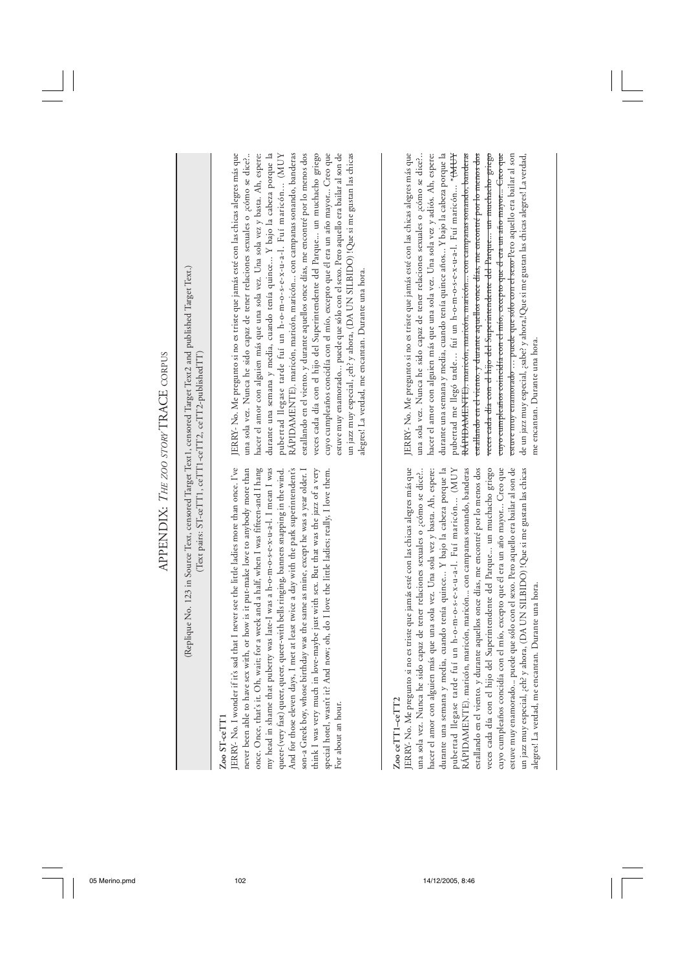| APPENDIX: THE 200 STORY TRACE CORPUS |                                                                                                                                                                      | estallando en el viento. y durante aquellos once días, me encontré por lo menos dos<br>un jazz muy especial, ¿eh? y ahora, (DA UN SILBIDO) !Que si me gustan las chicas<br>JERRY-No. Me pregunto si no es triste que jamás esté con las chicas alegres más que<br>una sola vez. Nunca he sido capaz de tener relaciones sexuales o ;cómo se dice?<br>hacer el amor con alguien más que una sola vez. Una sola vez y basta. Ah, espere:<br>durante una semana y media, cuando tenía quince Y bajo la cabeza porque la<br>RÁPIDAMENTE). maricón, maricón, maricón con campanas sonando, banderas<br>veces cada día con el hijo del Superintendente del Parque un muchacho griego<br>cuyo cumpleaños concidía con el mío, excepto que él era un año mayor Creo que<br>estuve muy enamorado puede que sólo con el sexo. Pero aquello era bailar al son de<br>pubertad llegase tarde fui un h-o-m-o-s-e-x-u-a-l. Fui maricón (MUY<br>alegres! La verdad, me encantan. Durante una hora. | JERRY-No. Me pregunto si no es triste que jamás esté con las chicas alegres más que<br>durante una semana y media, cuando tenía quince años Y bajo la cabeza porque la<br>una sola vez. Nunca he sido capaz de tener relaciones sexuales o ¿cómo se dice?<br>RÁPIDAMENTE). maricón, maricón, maricón con campanas sonando, banderas<br>estallando en el viento. y durante aquellos once días, me encontré por lo menos dos<br>veces cada día con el hijo del Superintendente del Parque un muchacho griego<br>euyo eumphaños coincidía con el mío, excepto que él era un año mayor Creo que<br>hacer el amor con alguien más que una sola vez. Una sola vez y adiós. Ah, espere:<br>pubertad me llegó tarde fuí un h-o-m-o-s-e-x-u-a-l. Fuí maricón * <del>(MUY</del><br>estuve muy enamorado  puede que sólo con el sexo Pero aquello era bailar al son<br>de un jazz muy especial, ¿sabe? y ahora,!Que si me gustan las chicas alegres! La verdad,<br>me encantan. Durante una hora.                              |
|--------------------------------------|----------------------------------------------------------------------------------------------------------------------------------------------------------------------|------------------------------------------------------------------------------------------------------------------------------------------------------------------------------------------------------------------------------------------------------------------------------------------------------------------------------------------------------------------------------------------------------------------------------------------------------------------------------------------------------------------------------------------------------------------------------------------------------------------------------------------------------------------------------------------------------------------------------------------------------------------------------------------------------------------------------------------------------------------------------------------------------------------------------------------------------------------------------------|---------------------------------------------------------------------------------------------------------------------------------------------------------------------------------------------------------------------------------------------------------------------------------------------------------------------------------------------------------------------------------------------------------------------------------------------------------------------------------------------------------------------------------------------------------------------------------------------------------------------------------------------------------------------------------------------------------------------------------------------------------------------------------------------------------------------------------------------------------------------------------------------------------------------------------------------------------------------------------------------------------------------|
|                                      | (Replique No. 123 in Source Text, censored Target Text1, censored Target Text2 and published Target Text.)<br>(Text pairs: ST-ceTT1, ceTT1-ceTT2, ceTT2-publishedTT) | ERRY- No. I wonder if it's sad that I never see the little ladies more than once. I've<br>never been able to have sex with, or how is it put-make love to anybody more than<br>son-a Greek boy, whose birthday was the same as mine, except he was a year older. I<br>for a week and a half, when I was fifteen-and I hang<br>my head in shame that puberty was late-I was a h-o-m-o-s-e-x-u-a-l. I mean I was<br>queer-(very fast) queer, queer, queer-with bells ringing, banners snapping in the wind.<br>And for those eleven days, I met at least twice a day with the park superintendent's<br>think I was very much in love-maybe just with sex. But that was the jazz of a very<br>special hotel, wasn't it? And now; oh, do I love the little ladies; really, I love them.<br>once. Once, that's it. Oh, wait;<br>For about an hour.<br>$Z$ oo $ST$ -ce $TT1$                                                                                                             | es triste que jamás esté con las chicas alegres más que<br>cuando tenía quince Y bajo la cabeza porque la<br>RÁPIDAMENTE). maricón, maricón, maricón con campanas sonando, banderas<br>estallando en el viento. y durante aquellos once días, me encontré por lo menos dos<br>Superintendente del Parque un muchacho griego<br>el mío, excepto que él era un año mayor Creo que<br>un jazz muy especial, ¿eh? y ahora, (DA UN SILBIDO) !Que si me gustan las chicas<br>una sola vez. Nunca he sido capaz de tener relaciones sexuales o ¿cómo se dice?<br>hacer el amor con alguien más que una sola vez. Una sola vez y basta. Ah, espere:<br>estuve muy enamorado puede que sólo con el sexo. Pero aquello era bailar al son de<br>un h-o-m-o-s-e-x-u-a-l. Fuí maricón (MUY<br>alegres! La verdad, me encantan. Durante una hora.<br>ERRY-No. Me pregunto si no<br>durante una semana y media,<br>pubertad llegase tarde fui<br>veces cada día con el hijo del<br>cuyo cumpleaños concidía con<br>Zoo ceTT1-ceTT2 |